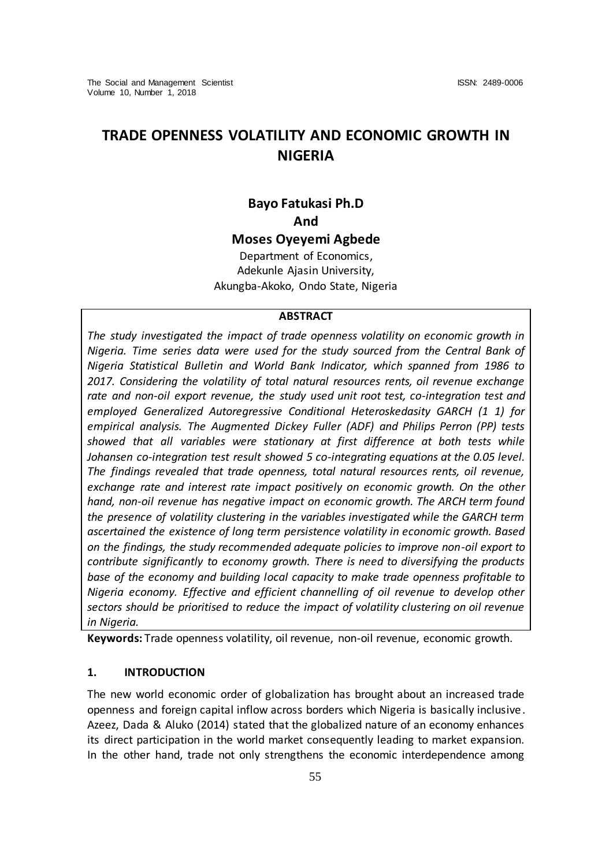# **TRADE OPENNESS VOLATILITY AND ECONOMIC GROWTH IN NIGERIA**

# **Bayo Fatukasi Ph.D And**

**Moses Oyeyemi Agbede** Department of Economics,

Adekunle Ajasin University, Akungba-Akoko, Ondo State, Nigeria

#### **ABSTRACT**

*The study investigated the impact of trade openness volatility on economic growth in Nigeria. Time series data were used for the study sourced from the Central Bank of Nigeria Statistical Bulletin and World Bank Indicator, which spanned from 1986 to 2017. Considering the volatility of total natural resources rents, oil revenue exchange rate and non-oil export revenue, the study used unit root test, co-integration test and employed Generalized Autoregressive Conditional Heteroskedasity GARCH (1 1) for empirical analysis. The Augmented Dickey Fuller (ADF) and Philips Perron (PP) tests showed that all variables were stationary at first difference at both tests while Johansen co-integration test result showed 5 co-integrating equations at the 0.05 level. The findings revealed that trade openness, total natural resources rents, oil revenue, exchange rate and interest rate impact positively on economic growth. On the other hand, non-oil revenue has negative impact on economic growth. The ARCH term found the presence of volatility clustering in the variables investigated while the GARCH term ascertained the existence of long term persistence volatility in economic growth. Based on the findings, the study recommended adequate policies to improve non-oil export to contribute significantly to economy growth. There is need to diversifying the products base of the economy and building local capacity to make trade openness profitable to Nigeria economy. Effective and efficient channelling of oil revenue to develop other sectors should be prioritised to reduce the impact of volatility clustering on oil revenue in Nigeria.*

**Keywords:** Trade openness volatility, oil revenue, non-oil revenue, economic growth.

#### **1. INTRODUCTION**

The new world economic order of globalization has brought about an increased trade openness and foreign capital inflow across borders which Nigeria is basically inclusive. Azeez, Dada & Aluko (2014) stated that the globalized nature of an economy enhances its direct participation in the world market consequently leading to market expansion. In the other hand, trade not only strengthens the economic interdependence among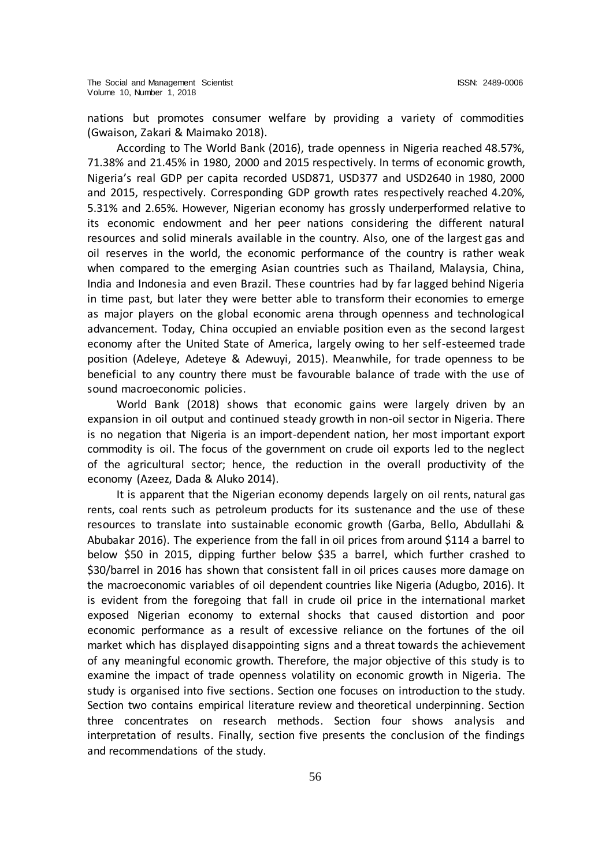nations but promotes consumer welfare by providing a variety of commodities (Gwaison, Zakari & Maimako 2018).

According to The World Bank (2016), trade openness in Nigeria reached 48.57%, 71.38% and 21.45% in 1980, 2000 and 2015 respectively. In terms of economic growth, Nigeria's real GDP per capita recorded USD871, USD377 and USD2640 in 1980, 2000 and 2015, respectively. Corresponding GDP growth rates respectively reached 4.20%, 5.31% and 2.65%. However, Nigerian economy has grossly underperformed relative to its economic endowment and her peer nations considering the different natural resources and solid minerals available in the country. Also, one of the largest gas and oil reserves in the world, the economic performance of the country is rather weak when compared to the emerging Asian countries such as Thailand, Malaysia, China, India and Indonesia and even Brazil. These countries had by far lagged behind Nigeria in time past, but later they were better able to transform their economies to emerge as major players on the global economic arena through openness and technological advancement. Today, China occupied an enviable position even as the second largest economy after the United State of America, largely owing to her self-esteemed trade position (Adeleye, Adeteye & Adewuyi, 2015). Meanwhile, for trade openness to be beneficial to any country there must be favourable balance of trade with the use of sound macroeconomic policies.

World Bank (2018) shows that economic gains were largely driven by an expansion in oil output and continued steady growth in non-oil sector in Nigeria. There is no negation that Nigeria is an import-dependent nation, her most important export commodity is oil. The focus of the government on crude oil exports led to the neglect of the agricultural sector; hence, the reduction in the overall productivity of the economy (Azeez, Dada & Aluko 2014).

It is apparent that the Nigerian economy depends largely on oil rents, natural gas rents, coal rents such as petroleum products for its sustenance and the use of these resources to translate into sustainable economic growth (Garba, Bello, Abdullahi & Abubakar 2016). The experience from the fall in oil prices from around \$114 a barrel to below \$50 in 2015, dipping further below \$35 a barrel, which further crashed to \$30/barrel in 2016 has shown that consistent fall in oil prices causes more damage on the macroeconomic variables of oil dependent countries like Nigeria (Adugbo, 2016). It is evident from the foregoing that fall in crude oil price in the international market exposed Nigerian economy to external shocks that caused distortion and poor economic performance as a result of excessive reliance on the fortunes of the oil market which has displayed disappointing signs and a threat towards the achievement of any meaningful economic growth. Therefore, the major objective of this study is to examine the impact of trade openness volatility on economic growth in Nigeria. The study is organised into five sections. Section one focuses on introduction to the study. Section two contains empirical literature review and theoretical underpinning. Section three concentrates on research methods. Section four shows analysis and interpretation of results. Finally, section five presents the conclusion of the findings and recommendations of the study.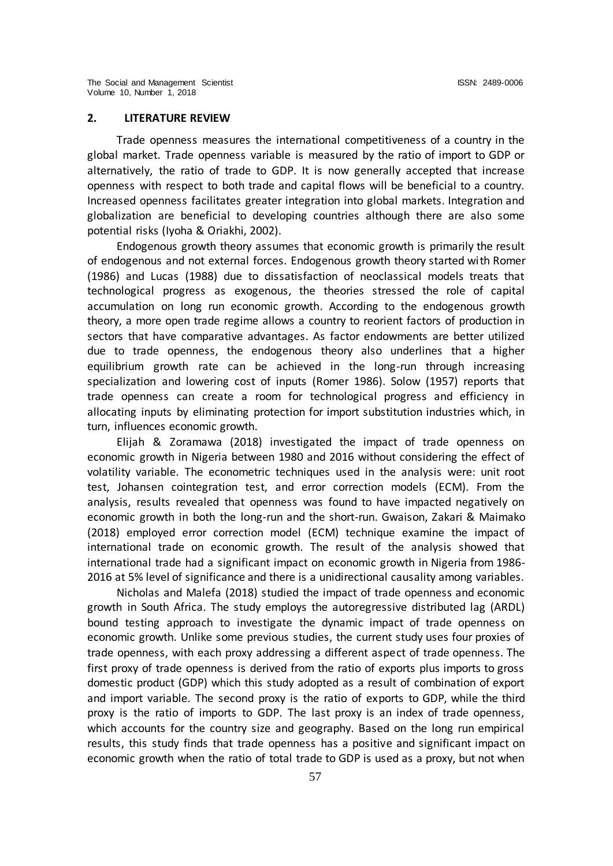#### **2. LITERATURE REVIEW**

Trade openness measures the international competitiveness of a country in the global market. Trade openness variable is measured by the ratio of import to GDP or alternatively, the ratio of trade to GDP. It is now generally accepted that increase openness with respect to both trade and capital flows will be beneficial to a country. Increased openness facilitates greater integration into global markets. Integration and globalization are beneficial to developing countries although there are also some potential risks (Iyoha & Oriakhi, 2002).

Endogenous growth theory assumes that economic growth is primarily the result of endogenous and not external forces. Endogenous growth theory started with Romer (1986) and Lucas (1988) due to dissatisfaction of neoclassical models treats that technological progress as exogenous, the theories stressed the role of capital accumulation on long run economic growth. According to the endogenous growth theory, a more open trade regime allows a country to reorient factors of production in sectors that have comparative advantages. As factor endowments are better utilized due to trade openness, the endogenous theory also underlines that a higher equilibrium growth rate can be achieved in the long-run through increasing specialization and lowering cost of inputs (Romer 1986). Solow (1957) reports that trade openness can create a room for technological progress and efficiency in allocating inputs by eliminating protection for import substitution industries which, in turn, influences economic growth.

Elijah & Zoramawa (2018) investigated the impact of trade openness on economic growth in Nigeria between 1980 and 2016 without considering the effect of volatility variable. The econometric techniques used in the analysis were: unit root test, Johansen cointegration test, and error correction models (ECM). From the analysis, results revealed that openness was found to have impacted negatively on economic growth in both the long-run and the short-run. Gwaison, Zakari & Maimako (2018) employed error correction model (ECM) technique examine the impact of international trade on economic growth. The result of the analysis showed that international trade had a significant impact on economic growth in Nigeria from 1986- 2016 at 5% level of significance and there is a unidirectional causality among variables.

Nicholas and Malefa (2018) studied the impact of trade openness and economic growth in South Africa. The study employs the autoregressive distributed lag (ARDL) bound testing approach to investigate the dynamic impact of trade openness on economic growth. Unlike some previous studies, the current study uses four proxies of trade openness, with each proxy addressing a different aspect of trade openness. The first proxy of trade openness is derived from the ratio of exports plus imports to gross domestic product (GDP) which this study adopted as a result of combination of export and import variable. The second proxy is the ratio of exports to GDP, while the third proxy is the ratio of imports to GDP. The last proxy is an index of trade openness, which accounts for the country size and geography. Based on the long run empirical results, this study finds that trade openness has a positive and significant impact on economic growth when the ratio of total trade to GDP is used as a proxy, but not when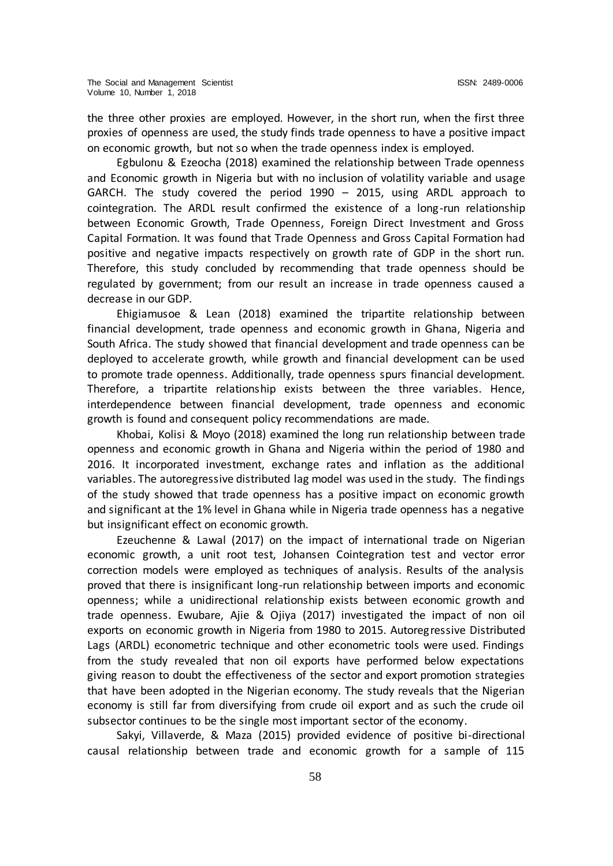the three other proxies are employed. However, in the short run, when the first three proxies of openness are used, the study finds trade openness to have a positive impact on economic growth, but not so when the trade openness index is employed.

Egbulonu & Ezeocha (2018) examined the relationship between Trade openness and Economic growth in Nigeria but with no inclusion of volatility variable and usage GARCH. The study covered the period 1990 – 2015, using ARDL approach to cointegration. The ARDL result confirmed the existence of a long-run relationship between Economic Growth, Trade Openness, Foreign Direct Investment and Gross Capital Formation. It was found that Trade Openness and Gross Capital Formation had positive and negative impacts respectively on growth rate of GDP in the short run. Therefore, this study concluded by recommending that trade openness should be regulated by government; from our result an increase in trade openness caused a decrease in our GDP.

Ehigiamusoe & Lean (2018) examined the tripartite relationship between financial development, trade openness and economic growth in Ghana, Nigeria and South Africa. The study showed that financial development and trade openness can be deployed to accelerate growth, while growth and financial development can be used to promote trade openness. Additionally, trade openness spurs financial development. Therefore, a tripartite relationship exists between the three variables. Hence, interdependence between financial development, trade openness and economic growth is found and consequent policy recommendations are made.

Khobai, Kolisi & Moyo (2018) examined the long run relationship between trade openness and economic growth in Ghana and Nigeria within the period of 1980 and 2016. It incorporated investment, exchange rates and inflation as the additional variables. The autoregressive distributed lag model was used in the study. The findings of the study showed that trade openness has a positive impact on economic growth and significant at the 1% level in Ghana while in Nigeria trade openness has a negative but insignificant effect on economic growth.

Ezeuchenne & Lawal (2017) on the impact of international trade on Nigerian economic growth, a unit root test, Johansen Cointegration test and vector error correction models were employed as techniques of analysis. Results of the analysis proved that there is insignificant long-run relationship between imports and economic openness; while a unidirectional relationship exists between economic growth and trade openness. Ewubare, Ajie & Ojiya (2017) investigated the impact of non oil exports on economic growth in Nigeria from 1980 to 2015. Autoregressive Distributed Lags (ARDL) econometric technique and other econometric tools were used. Findings from the study revealed that non oil exports have performed below expectations giving reason to doubt the effectiveness of the sector and export promotion strategies that have been adopted in the Nigerian economy. The study reveals that the Nigerian economy is still far from diversifying from crude oil export and as such the crude oil subsector continues to be the single most important sector of the economy.

Sakyi, Villaverde, & Maza (2015) provided evidence of positive bi-directional causal relationship between trade and economic growth for a sample of 115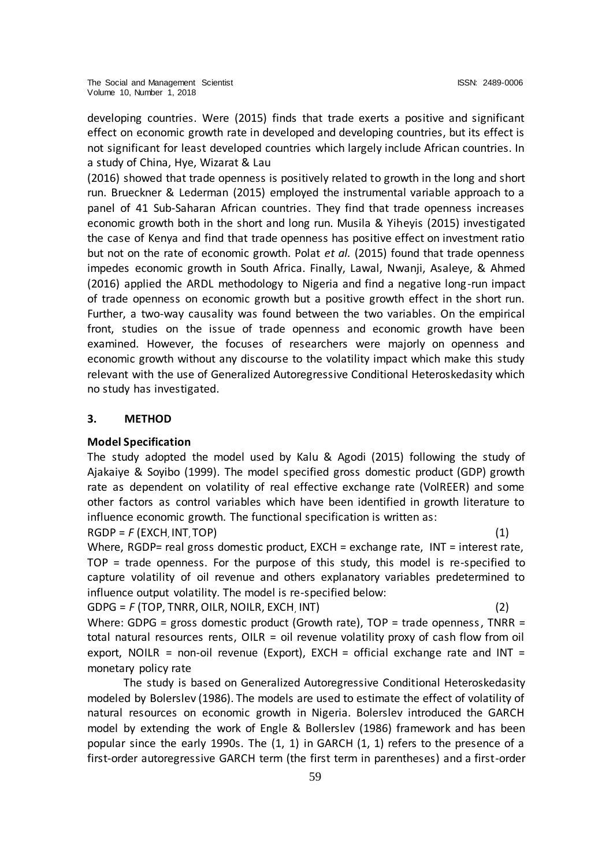developing countries. Were (2015) finds that trade exerts a positive and significant effect on economic growth rate in developed and developing countries, but its effect is not significant for least developed countries which largely include African countries. In a study of China, Hye, Wizarat & Lau

(2016) showed that trade openness is positively related to growth in the long and short run. Brueckner & Lederman (2015) employed the instrumental variable approach to a panel of 41 Sub-Saharan African countries. They find that trade openness increases economic growth both in the short and long run. Musila & Yiheyis (2015) investigated the case of Kenya and find that trade openness has positive effect on investment ratio but not on the rate of economic growth. Polat *et al.* (2015) found that trade openness impedes economic growth in South Africa. Finally, Lawal, Nwanji, Asaleye, & Ahmed (2016) applied the ARDL methodology to Nigeria and find a negative long-run impact of trade openness on economic growth but a positive growth effect in the short run. Further, a two-way causality was found between the two variables. On the empirical front, studies on the issue of trade openness and economic growth have been examined. However, the focuses of researchers were majorly on openness and economic growth without any discourse to the volatility impact which make this study relevant with the use of Generalized Autoregressive Conditional Heteroskedasity which no study has investigated.

# **3. METHOD**

### **Model Specification**

The study adopted the model used by Kalu & Agodi (2015) following the study of Ajakaiye & Soyibo (1999). The model specified gross domestic product (GDP) growth rate as dependent on volatility of real effective exchange rate (VolREER) and some other factors as control variables which have been identified in growth literature to influence economic growth. The functional specification is written as:

 $RGDP = F (EXCH, INT, TOP)$  (1) Where, RGDP= real gross domestic product, EXCH = exchange rate, INT = interest rate, TOP = trade openness. For the purpose of this study, this model is re-specified to capture volatility of oil revenue and others explanatory variables predetermined to influence output volatility. The model is re-specified below:

GDPG = *F* (TOP, TNRR, OILR, NOILR, EXCH, INT) (2)

Where: GDPG = gross domestic product (Growth rate),  $TOP =$  trade openness,  $TNRR =$ total natural resources rents, OILR = oil revenue volatility proxy of cash flow from oil export, NOILR = non-oil revenue (Export), EXCH = official exchange rate and INT = monetary policy rate

The study is based on Generalized Autoregressive Conditional Heteroskedasity modeled by Bolerslev (1986). The models are used to estimate the effect of volatility of natural resources on economic growth in Nigeria. Bolerslev introduced the GARCH model by extending the work of Engle & Bollerslev (1986) framework and has been popular since the early 1990s. The (1, 1) in GARCH (1, 1) refers to the presence of a first-order autoregressive GARCH term (the first term in parentheses) and a first-order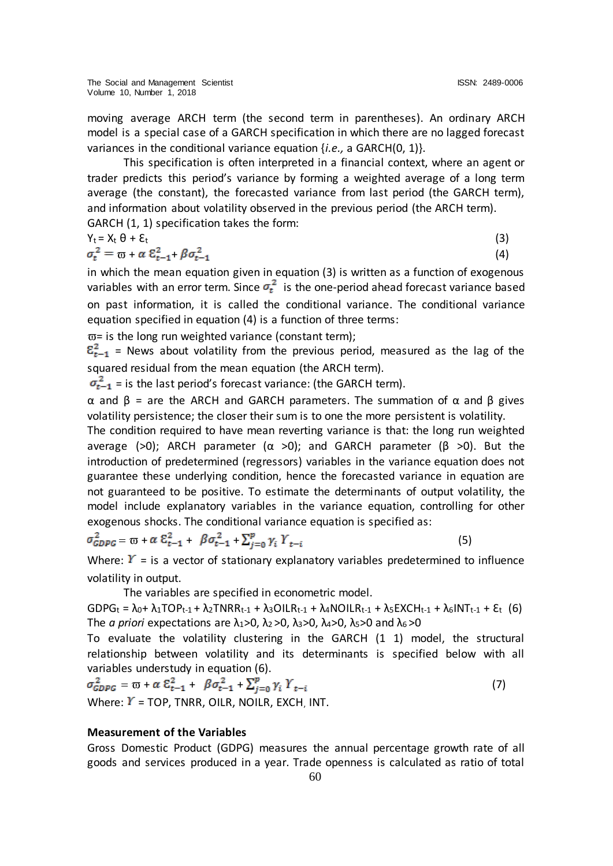moving average ARCH term (the second term in parentheses). An ordinary ARCH model is a special case of a GARCH specification in which there are no lagged forecast variances in the conditional variance equation {*i.e.,* a GARCH(0, 1)}.

This specification is often interpreted in a financial context, where an agent or trader predicts this period's variance by forming a weighted average of a long term average (the constant), the forecasted variance from last period (the GARCH term), and information about volatility observed in the previous period (the ARCH term). GARCH (1, 1) specification takes the form:

$$
Y_t = X_t \theta + \mathcal{E}_t
$$
  
\n
$$
\sigma_t^2 = \varpi + \alpha \mathcal{E}_{t-1}^2 + \beta \sigma_{t-1}^2
$$
\n(3)

in which the mean equation given in equation (3) is written as a function of exogenous variables with an error term. Since  $\sigma_t^2$  is the one-period ahead forecast variance based on past information, it is called the conditional variance. The conditional variance equation specified in equation (4) is a function of three terms:

 $\overline{\omega}$ = is the long run weighted variance (constant term);

 $\mathcal{E}_{t-1}^2$  = News about volatility from the previous period, measured as the lag of the squared residual from the mean equation (the ARCH term).

 $\sigma_{t-1}^2$  = is the last period's forecast variance: (the GARCH term).

α and β = are the ARCH and GARCH parameters. The summation of α and β gives volatility persistence; the closer their sum is to one the more persistent is volatility.

The condition required to have mean reverting variance is that: the long run weighted average (>0); ARCH parameter (α >0); and GARCH parameter (β >0). But the introduction of predetermined (regressors) variables in the variance equation does not guarantee these underlying condition, hence the forecasted variance in equation are not guaranteed to be positive. To estimate the determinants of output volatility, the model include explanatory variables in the variance equation, controlling for other exogenous shocks. The conditional variance equation is specified as:

$$
\sigma_{GDPG}^2 = \varpi + \alpha \ \mathcal{E}_{t-1}^2 + \beta \sigma_{t-1}^2 + \sum_{j=0}^p \gamma_i \ Y_{t-i} \tag{5}
$$

Where:  $Y =$  is a vector of stationary explanatory variables predetermined to influence volatility in output.

The variables are specified in econometric model.

 $GDPG_t = \lambda_0 + \lambda_1 TOP_{t-1} + \lambda_2TNRR_{t-1} + \lambda_3OILR_{t-1} + \lambda_4NOILR_{t-1} + \lambda_5EXCH_{t-1} + \lambda_6INT_{t-1} + \epsilon_t (6)$ The *a priori* expectations are  $\lambda_1$ >0,  $\lambda_2$ >0,  $\lambda_3$ >0,  $\lambda_4$ >0,  $\lambda_5$ >0 and  $\lambda_6$ >0

To evaluate the volatility clustering in the GARCH (1 1) model, the structural relationship between volatility and its determinants is specified below with all variables understudy in equation (6).

 $\sigma_{GDPG}^2 = \overline{w} + \alpha \ \mathcal{E}_{t-1}^2 + \beta \sigma_{t-1}^2 + \sum_{i=0}^p \gamma_i \ Y_{t-i}$ (7) Where:  $Y = TOP$ , TNRR, OILR, NOILR, EXCH, INT.

#### **Measurement of the Variables**

Gross Domestic Product (GDPG) measures the annual percentage growth rate of all goods and services produced in a year. Trade openness is calculated as ratio of total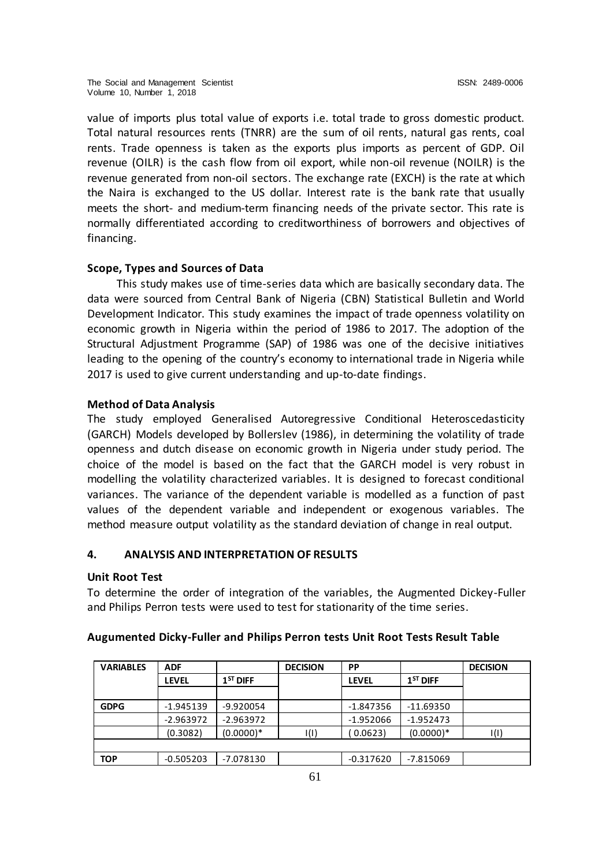value of imports plus total value of exports i.e. total trade to gross domestic product. Total natural resources rents (TNRR) are the sum of oil rents, natural gas rents, coal rents. Trade openness is taken as the exports plus imports as percent of GDP. Oil revenue (OILR) is the cash flow from oil export, while non-oil revenue (NOILR) is the revenue generated from non-oil sectors. The exchange rate (EXCH) is the rate at which the Naira is exchanged to the US dollar. Interest rate is the bank rate that usually meets the short- and medium-term financing needs of the private sector. This rate is normally differentiated according to creditworthiness of borrowers and objectives of financing.

# **Scope, Types and Sources of Data**

This study makes use of time-series data which are basically secondary data. The data were sourced from Central Bank of Nigeria (CBN) Statistical Bulletin and World Development Indicator. This study examines the impact of trade openness volatility on economic growth in Nigeria within the period of 1986 to 2017. The adoption of the Structural Adjustment Programme (SAP) of 1986 was one of the decisive initiatives leading to the opening of the country's economy to international trade in Nigeria while 2017 is used to give current understanding and up-to-date findings.

# **Method of Data Analysis**

The study employed Generalised Autoregressive Conditional Heteroscedasticity (GARCH) Models developed by Bollerslev (1986), in determining the volatility of trade openness and dutch disease on economic growth in Nigeria under study period. The choice of the model is based on the fact that the GARCH model is very robust in modelling the volatility characterized variables. It is designed to forecast conditional variances. The variance of the dependent variable is modelled as a function of past values of the dependent variable and independent or exogenous variables. The method measure output volatility as the standard deviation of change in real output.

# **4. ANALYSIS AND INTERPRETATION OF RESULTS**

### **Unit Root Test**

To determine the order of integration of the variables, the Augmented Dickey-Fuller and Philips Perron tests were used to test for stationarity of the time series.

| <b>VARIABLES</b> | <b>ADF</b>  |             | <b>DECISION</b> | <b>PP</b>    |             | <b>DECISION</b> |
|------------------|-------------|-------------|-----------------|--------------|-------------|-----------------|
|                  | LEVEL       | $1ST$ DIFF  |                 | <b>LEVEL</b> | $1ST$ DIFF  |                 |
|                  |             |             |                 |              |             |                 |
| <b>GDPG</b>      | $-1.945139$ | $-9.920054$ |                 | $-1.847356$  | $-11.69350$ |                 |
|                  | $-2.963972$ | $-2.963972$ |                 | $-1.952066$  | $-1.952473$ |                 |
|                  | (0.3082)    | $(0.0000)*$ | I(I)            | (0.0623)     | $(0.0000)*$ | I(I)            |
|                  |             |             |                 |              |             |                 |
| <b>TOP</b>       | $-0.505203$ | $-7.078130$ |                 | $-0.317620$  | $-7.815069$ |                 |

# **Augumented Dicky-Fuller and Philips Perron tests Unit Root Tests Result Table**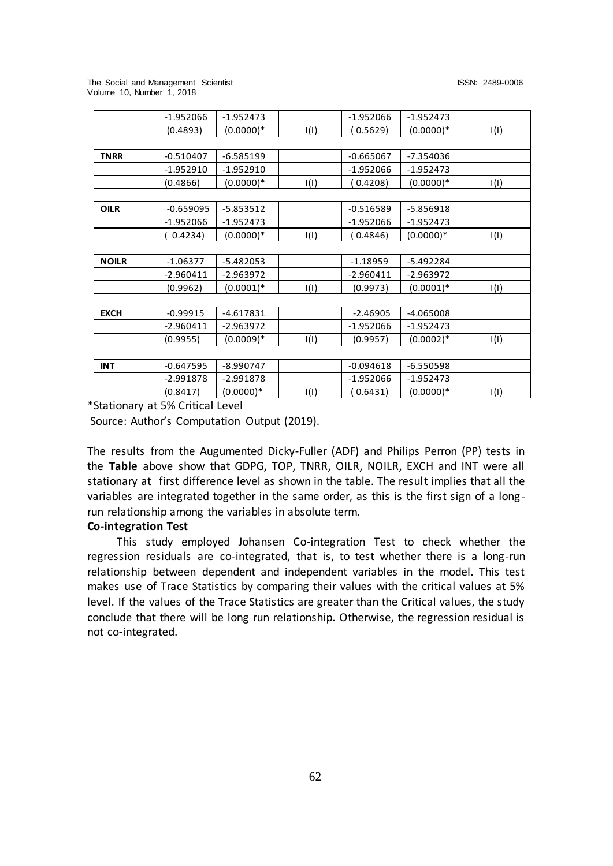The Social and Management Scientist ISSN: 2489-0006 Volume 10, Number 1, 2018

| $-1.952066$ | $-1.952473$  |      | $-1.952066$ | $-1.952473$  |      |
|-------------|--------------|------|-------------|--------------|------|
| (0.4893)    | $(0.0000)*$  | I(I) | 0.5629      | $(0.0000)*$  | I(I) |
|             |              |      |             |              |      |
| $-0.510407$ | $-6.585199$  |      | $-0.665067$ | $-7.354036$  |      |
| $-1.952910$ | $-1.952910$  |      | $-1.952066$ | $-1.952473$  |      |
| (0.4866)    | $(0.0000)*$  | I(I) | 0.4208)     | $(0.0000)*$  | I(I) |
|             |              |      |             |              |      |
| $-0.659095$ | $-5.853512$  |      | $-0.516589$ | $-5.856918$  |      |
| $-1.952066$ | $-1.952473$  |      | $-1.952066$ | $-1.952473$  |      |
| 0.4234)     | $(0.0000)*$  | I(I) | 0.4846)     | $(0.0000)*$  | I(I) |
|             |              |      |             |              |      |
| $-1.06377$  | $-5.482053$  |      | $-1.18959$  | $-5.492284$  |      |
| $-2.960411$ | $-2.963972$  |      | $-2.960411$ | -2.963972    |      |
| (0.9962)    | $(0.0001)^*$ | I(I) | (0.9973)    | $(0.0001)^*$ | I(I) |
|             |              |      |             |              |      |
| $-0.99915$  | $-4.617831$  |      | $-2.46905$  | $-4.065008$  |      |
| $-2.960411$ | $-2.963972$  |      | $-1.952066$ | $-1.952473$  |      |
| (0.9955)    | $(0.0009)*$  | I(I) | (0.9957)    | $(0.0002)*$  | I(I) |
|             |              |      |             |              |      |
| $-0.647595$ | $-8.990747$  |      | $-0.094618$ | $-6.550598$  |      |
| $-2.991878$ | $-2.991878$  |      | $-1.952066$ | $-1.952473$  |      |
| (0.8417)    | $(0.0000)*$  | I(I) | 0.6431)     | $(0.0000)*$  | I(I) |
|             |              |      |             |              |      |

\*Stationary at 5% Critical Level

Source: Author's Computation Output (2019).

The results from the Augumented Dicky-Fuller (ADF) and Philips Perron (PP) tests in the **Table** above show that GDPG, TOP, TNRR, OILR, NOILR, EXCH and INT were all stationary at first difference level as shown in the table. The result implies that all the variables are integrated together in the same order, as this is the first sign of a long run relationship among the variables in absolute term.

### **Co-integration Test**

This study employed Johansen Co-integration Test to check whether the regression residuals are co-integrated, that is, to test whether there is a long-run relationship between dependent and independent variables in the model. This test makes use of Trace Statistics by comparing their values with the critical values at 5% level. If the values of the Trace Statistics are greater than the Critical values, the study conclude that there will be long run relationship. Otherwise, the regression residual is not co-integrated.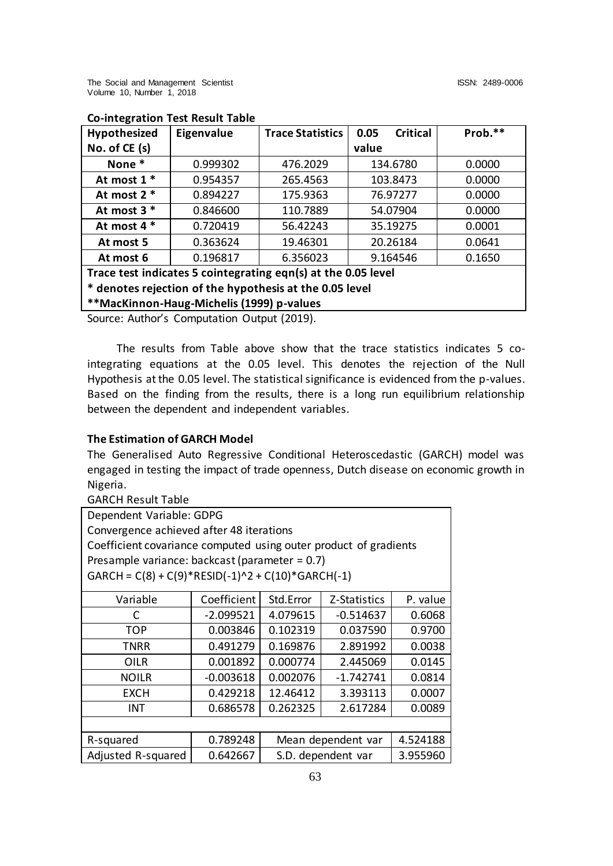| Hypothesized                                                  | Eigenvalue | <b>Trace Statistics</b> | <b>Critical</b><br>0.05 | Prob.** |  |
|---------------------------------------------------------------|------------|-------------------------|-------------------------|---------|--|
| No. of CE (s)                                                 |            |                         | value                   |         |  |
| None *                                                        | 0.999302   | 476.2029                | 134.6780                | 0.0000  |  |
| At most 1 *                                                   | 0.954357   | 265.4563                | 103.8473                | 0.0000  |  |
| At most 2 *                                                   | 0.894227   | 175.9363                | 76.97277                | 0.0000  |  |
| At most $3$ $*$                                               | 0.846600   | 110.7889                | 54.07904                | 0.0000  |  |
| At most 4 *                                                   | 0.720419   | 56.42243                | 35.19275                | 0.0001  |  |
| At most 5                                                     | 0.363624   | 19.46301                | 20.26184                | 0.0641  |  |
| At most 6                                                     | 0.196817   | 6.356023                | 9.164546                | 0.1650  |  |
| Trace test indicates 5 cointegrating eqn(s) at the 0.05 level |            |                         |                         |         |  |
| * denotes rejection of the hypothesis at the 0.05 level       |            |                         |                         |         |  |
|                                                               |            |                         |                         |         |  |

# **Co-integration Test Result Table**

**\*\*MacKinnon-Haug-Michelis (1999) p-values**

Source: Author's Computation Output (2019).

The results from Table above show that the trace statistics indicates 5 cointegrating equations at the 0.05 level. This denotes the rejection of the Null Hypothesis at the 0.05 level. The statistical significance is evidenced from the p-values. Based on the finding from the results, there is a long run equilibrium relationship between the dependent and independent variables.

### **The Estimation of GARCH Model**

The Generalised Auto Regressive Conditional Heteroscedastic (GARCH) model was engaged in testing the impact of trade openness, Dutch disease on economic growth in Nigeria.

GARCH Result Table

| Dependent Variable: GDPG                                         |             |                                |              |          |  |
|------------------------------------------------------------------|-------------|--------------------------------|--------------|----------|--|
| Convergence achieved after 48 iterations                         |             |                                |              |          |  |
| Coefficient covariance computed using outer product of gradients |             |                                |              |          |  |
| Presample variance: backcast (parameter = $0.7$ )                |             |                                |              |          |  |
| $GARCH = C(8) + C(9) * RESID(-1)^2 + C(10) * GARCH(-1)$          |             |                                |              |          |  |
| Variable                                                         | Coefficient | Std.Error                      | Z-Statistics | P. value |  |
| C                                                                | $-2.099521$ | 4.079615                       | $-0.514637$  | 0.6068   |  |
| <b>TOP</b>                                                       | 0.003846    | 0.102319                       | 0.037590     | 0.9700   |  |
| TNRR                                                             | 0.491279    | 0.169876                       | 2.891992     | 0.0038   |  |
| OILR                                                             | 0.001892    | 0.000774                       | 2.445069     | 0.0145   |  |
| <b>NOILR</b>                                                     | $-0.003618$ | 0.002076                       | $-1.742741$  | 0.0814   |  |
| <b>EXCH</b>                                                      | 0.429218    | 12.46412                       | 3.393113     | 0.0007   |  |
| INT                                                              | 0.686578    | 0.262325                       | 2.617284     | 0.0089   |  |
|                                                                  |             |                                |              |          |  |
| R-squared                                                        | 0.789248    | Mean dependent var<br>4.524188 |              |          |  |
| Adjusted R-squared                                               | 0.642667    | S.D. dependent var             | 3.955960     |          |  |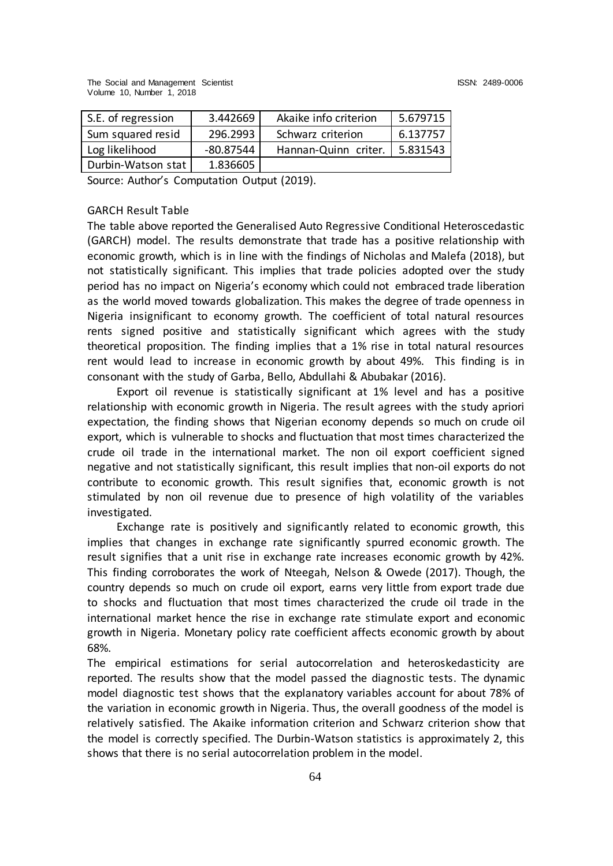| S.E. of regression | 3.442669    | Akaike info criterion | 5.679715 |
|--------------------|-------------|-----------------------|----------|
| Sum squared resid  | 296.2993    | Schwarz criterion     | 6.137757 |
| Log likelihood     | $-80.87544$ | Hannan-Quinn criter.  | 5.831543 |
| Durbin-Watson stat | 1.836605    |                       |          |

Source: Author's Computation Output (2019).

#### GARCH Result Table

The table above reported the Generalised Auto Regressive Conditional Heteroscedastic (GARCH) model. The results demonstrate that trade has a positive relationship with economic growth, which is in line with the findings of Nicholas and Malefa (2018), but not statistically significant. This implies that trade policies adopted over the study period has no impact on Nigeria's economy which could not embraced trade liberation as the world moved towards globalization. This makes the degree of trade openness in Nigeria insignificant to economy growth. The coefficient of total natural resources rents signed positive and statistically significant which agrees with the study theoretical proposition. The finding implies that a 1% rise in total natural resources rent would lead to increase in economic growth by about 49%. This finding is in consonant with the study of Garba, Bello, Abdullahi & Abubakar (2016).

Export oil revenue is statistically significant at 1% level and has a positive relationship with economic growth in Nigeria. The result agrees with the study apriori expectation, the finding shows that Nigerian economy depends so much on crude oil export, which is vulnerable to shocks and fluctuation that most times characterized the crude oil trade in the international market. The non oil export coefficient signed negative and not statistically significant, this result implies that non-oil exports do not contribute to economic growth. This result signifies that, economic growth is not stimulated by non oil revenue due to presence of high volatility of the variables investigated.

Exchange rate is positively and significantly related to economic growth, this implies that changes in exchange rate significantly spurred economic growth. The result signifies that a unit rise in exchange rate increases economic growth by 42%. This finding corroborates the work of Nteegah, Nelson & Owede (2017). Though, the country depends so much on crude oil export, earns very little from export trade due to shocks and fluctuation that most times characterized the crude oil trade in the international market hence the rise in exchange rate stimulate export and economic growth in Nigeria. Monetary policy rate coefficient affects economic growth by about 68%.

The empirical estimations for serial autocorrelation and heteroskedasticity are reported. The results show that the model passed the diagnostic tests. The dynamic model diagnostic test shows that the explanatory variables account for about 78% of the variation in economic growth in Nigeria. Thus, the overall goodness of the model is relatively satisfied. The Akaike information criterion and Schwarz criterion show that the model is correctly specified. The Durbin-Watson statistics is approximately 2, this shows that there is no serial autocorrelation problem in the model.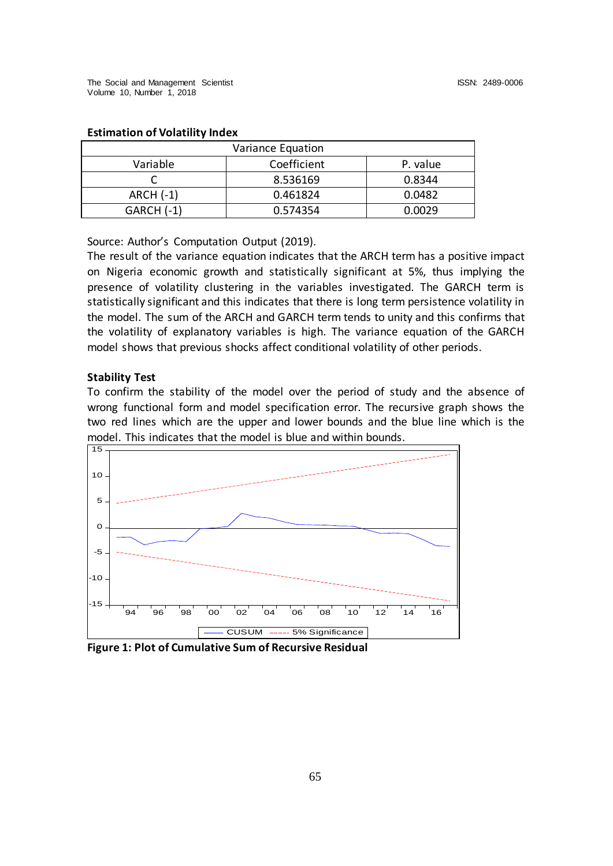| Variance Equation |             |          |  |  |  |
|-------------------|-------------|----------|--|--|--|
| Variable          | Coefficient | P. value |  |  |  |
|                   | 8.536169    | 0.8344   |  |  |  |
| <b>ARCH (-1)</b>  | 0.461824    | 0.0482   |  |  |  |
| $GARCH(-1)$       | 0.574354    | 0.0029   |  |  |  |

#### **Estimation of Volatility Index**

Source: Author's Computation Output (2019).

The result of the variance equation indicates that the ARCH term has a positive impact on Nigeria economic growth and statistically significant at 5%, thus implying the presence of volatility clustering in the variables investigated. The GARCH term is statistically significant and this indicates that there is long term persistence volatility in the model. The sum of the ARCH and GARCH term tends to unity and this confirms that the volatility of explanatory variables is high. The variance equation of the GARCH model shows that previous shocks affect conditional volatility of other periods.

#### **Stability Test**

To confirm the stability of the model over the period of study and the absence of wrong functional form and model specification error. The recursive graph shows the two red lines which are the upper and lower bounds and the blue line which is the model. This indicates that the model is blue and within bounds.



**Figure 1: Plot of Cumulative Sum of Recursive Residual**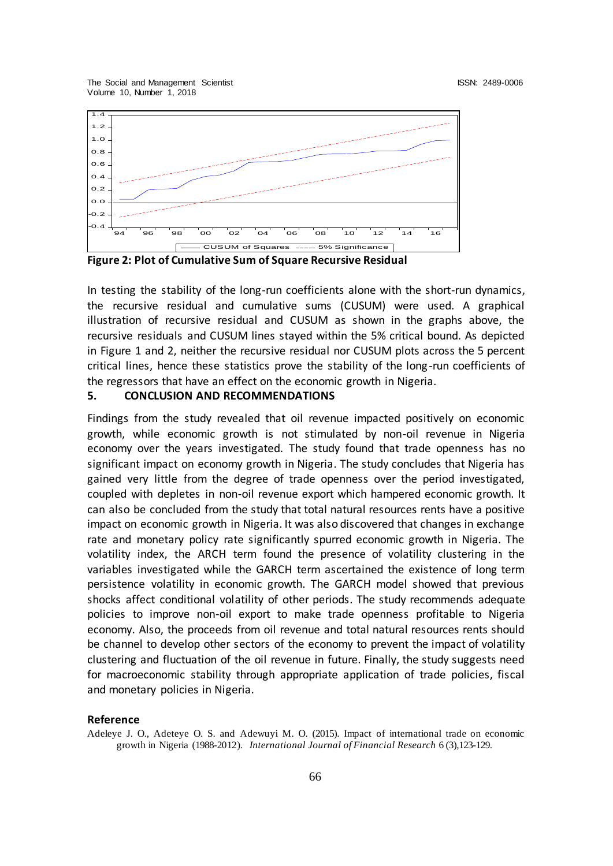The Social and Management Scientist ISSN: 2489-0006 Volume 10, Number 1, 2018



**Figure 2: Plot of Cumulative Sum of Square Recursive Residual**

In testing the stability of the long-run coefficients alone with the short-run dynamics, the recursive residual and cumulative sums (CUSUM) were used. A graphical illustration of recursive residual and CUSUM as shown in the graphs above, the recursive residuals and CUSUM lines stayed within the 5% critical bound. As depicted in Figure 1 and 2, neither the recursive residual nor CUSUM plots across the 5 percent critical lines, hence these statistics prove the stability of the long-run coefficients of the regressors that have an effect on the economic growth in Nigeria.

#### **5. CONCLUSION AND RECOMMENDATIONS**

Findings from the study revealed that oil revenue impacted positively on economic growth, while economic growth is not stimulated by non-oil revenue in Nigeria economy over the years investigated. The study found that trade openness has no significant impact on economy growth in Nigeria. The study concludes that Nigeria has gained very little from the degree of trade openness over the period investigated, coupled with depletes in non-oil revenue export which hampered economic growth. It can also be concluded from the study that total natural resources rents have a positive impact on economic growth in Nigeria. It was also discovered that changes in exchange rate and monetary policy rate significantly spurred economic growth in Nigeria. The volatility index, the ARCH term found the presence of volatility clustering in the variables investigated while the GARCH term ascertained the existence of long term persistence volatility in economic growth. The GARCH model showed that previous shocks affect conditional volatility of other periods. The study recommends adequate policies to improve non-oil export to make trade openness profitable to Nigeria economy. Also, the proceeds from oil revenue and total natural resources rents should be channel to develop other sectors of the economy to prevent the impact of volatility clustering and fluctuation of the oil revenue in future. Finally, the study suggests need for macroeconomic stability through appropriate application of trade policies, fiscal and monetary policies in Nigeria.

#### **Reference**

Adeleye J. O., Adeteye O. S. and Adewuyi M. O. (2015). Impact of international trade on economic growth in Nigeria (1988-2012). *International Journal of Financial Research* 6 (3),123-129.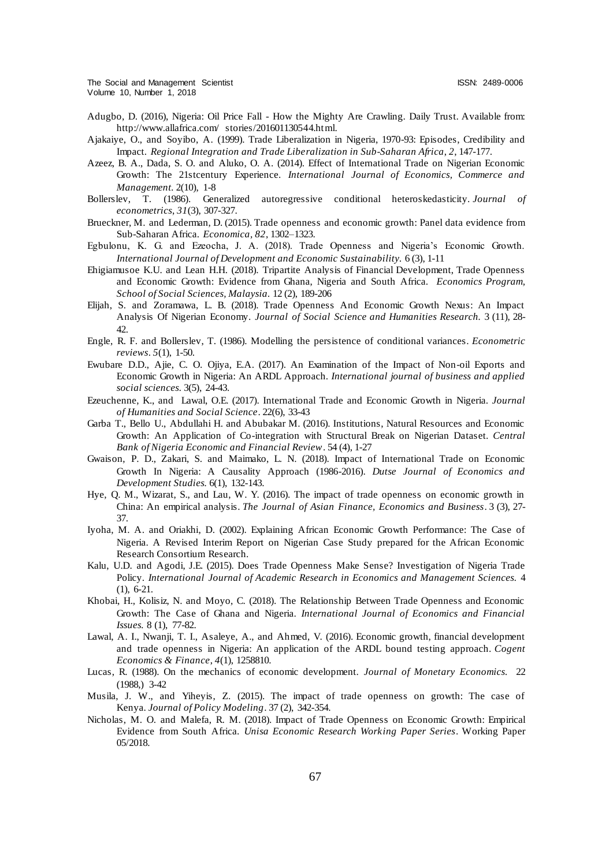The Social and Management Scientist ISSN: 2489-0006 Volume 10, Number 1, 2018

- Adugbo, D. (2016), Nigeria: Oil Price Fall How the Mighty Are Crawling. Daily Trust. Available from: http://www.allafrica.com/ stories/201601130544.html.
- Ajakaiye, O., and Soyibo, A. (1999). Trade Liberalization in Nigeria, 1970-93: Episodes, Credibility and Impact. *Regional Integration and Trade Liberalization in Sub-Saharan Africa*, *2*, 147-177.
- Azeez, B. A., Dada, S. O. and Aluko, O. A. (2014). Effect of International Trade on Nigerian Economic Growth: The 21stcentury Experience. *International Journal of Economics, Commerce and Management.* 2(10), 1-8
- Bollerslev, T. (1986). Generalized autoregressive conditional heteroskedasticity. *Journal of econometrics*, *31*(3), 307-327.
- Brueckner, M. and Lederman, D. (2015). Trade openness and economic growth: Panel data evidence from Sub-Saharan Africa. *Economica, 82*, 1302–1323.
- Egbulonu, K. G. and Ezeocha, J. A. (2018). Trade Openness and Nigeria's Economic Growth. *International Journal of Development and Economic Sustainability.* 6 (3), 1-11
- Ehigiamusoe K.U. and Lean H.H. (2018). Tripartite Analysis of Financial Development, Trade Openness and Economic Growth: Evidence from Ghana, Nigeria and South Africa. *Economics Program, School of Social Sciences, Malaysia.* 12 (2), 189-206
- Elijah, S. and Zoramawa, L. B. (2018). Trade Openness And Economic Growth Nexus: An Impact Analysis Of Nigerian Economy. *Journal of Social Science and Humanities Research.* 3 (11), 28- 42.
- Engle, R. F. and Bollerslev, T. (1986). Modelling the persistence of conditional variances. *Econometric reviews*. *5*(1), 1-50.
- Ewubare D.D., Ajie, C. O. Ojiya, E.A. (2017). An Examination of the Impact of Non-oil Exports and Economic Growth in Nigeria: An ARDL Approach. *International journal of business and applied social sciences.* 3(5), 24-43.
- Ezeuchenne, K., and Lawal, O.E. (2017). International Trade and Economic Growth in Nigeria. *Journal of Humanities and Social Science*. 22(6), 33-43
- Garba T., Bello U., Abdullahi H. and Abubakar M. (2016). Institutions, Natural Resources and Economic Growth: An Application of Co-integration with Structural Break on Nigerian Dataset. *Central Bank of Nigeria Economic and Financial Review*. 54 (4), 1-27
- Gwaison, P. D., Zakari, S. and Maimako, L. N. (2018). Impact of International Trade on Economic Growth In Nigeria: A Causality Approach (1986-2016). *Dutse Journal of Economics and Development Studies.* 6(1), 132-143.
- Hye, Q. M., Wizarat, S., and Lau, W. Y. (2016). The impact of trade openness on economic growth in China: An empirical analysis. *The Journal of Asian Finance, Economics and Business*. 3 (3), 27- 37.
- Iyoha, M. A. and Oriakhi, D. (2002). Explaining African Economic Growth Performance: The Case of Nigeria. A Revised Interim Report on Nigerian Case Study prepared for the African Economic Research Consortium Research.
- Kalu, U.D. and Agodi, J.E. (2015). Does Trade Openness Make Sense? Investigation of Nigeria Trade Policy. *International Journal of Academic Research in Economics and Management Sciences.* 4 (1), 6-21.
- Khobai, H., Kolisiz, N. and Moyo, C. (2018). The Relationship Between Trade Openness and Economic Growth: The Case of Ghana and Nigeria. *International Journal of Economics and Financial Issues.* 8 (1), 77-82.
- Lawal, A. I., Nwanji, T. I., Asaleye, A., and Ahmed, V. (2016). Economic growth, financial development and trade openness in Nigeria: An application of the ARDL bound testing approach. *Cogent Economics & Finance*, *4*(1), 1258810.
- Lucas, R. (1988). On the mechanics of economic development. *Journal of Monetary Economics.* 22 (1988,) 3-42
- Musila, J. W., and Yiheyis, Z. (2015). The impact of trade openness on growth: The case of Kenya. *Journal of Policy Modeling*. 37 (2), 342-354.
- Nicholas, M. O. and Malefa, R. M. (2018). Impact of Trade Openness on Economic Growth: Empirical Evidence from South Africa. *Unisa Economic Research Working Paper Series*. Working Paper 05/2018.